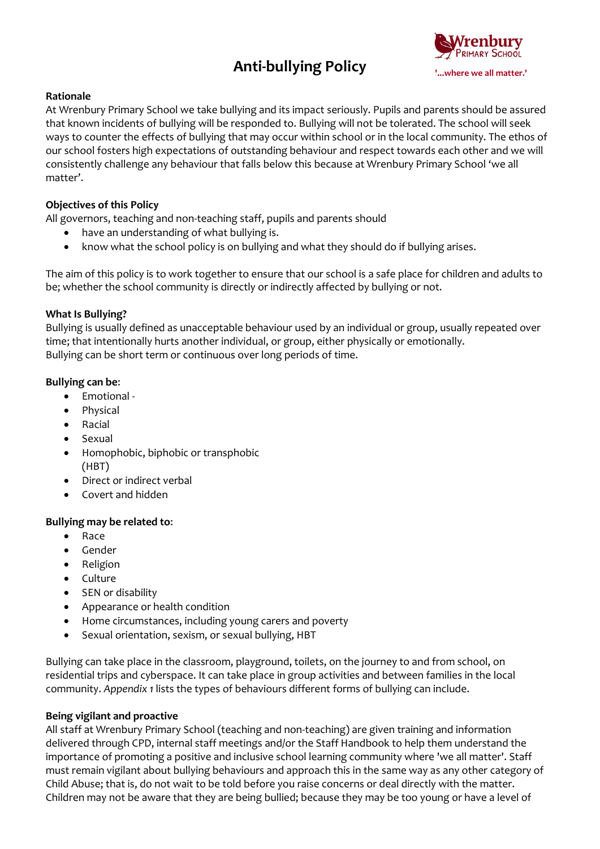## **Anti-bullying Policy**



## **Rationale**

At Wrenbury Primary School we take bullying and its impact seriously. Pupils and parents should be assured that known incidents of bullying will be responded to. Bullying will not be tolerated. The school will seek ways to counter the effects of bullying that may occur within school or in the local community. The ethos of our school fosters high expectations of outstanding behaviour and respect towards each other and we will consistently challenge any behaviour that falls below this because at Wrenbury Primary School 'we all matter'.

## **Objectives of this Policy**

All governors, teaching and non-teaching staff, pupils and parents should

- have an understanding of what bullying is.
- know what the school policy is on bullying and what they should do if bullying arises.

The aim of this policy is to work together to ensure that our school is a safe place for children and adults to be; whether the school community is directly or indirectly affected by bullying or not.

#### **What Is Bullying?**

Bullying is usually defined as unacceptable behaviour used by an individual or group, usually repeated over time; that intentionally hurts another individual, or group, either physically or emotionally. Bullying can be short term or continuous over long periods of time.

## **Bullying can be**:

- Emotional -
- Physical
- Racial
- Sexual
- Homophobic, biphobic or transphobic (HBT)
- Direct or indirect verbal
- Covert and hidden

#### **Bullying may be related to**:

- Race
- Gender
- Religion
- Culture
- SEN or disability
- Appearance or health condition
- Home circumstances, including young carers and poverty
- Sexual orientation, sexism, or sexual bullying, HBT

Bullying can take place in the classroom, playground, toilets, on the journey to and from school, on residential trips and cyberspace. It can take place in group activities and between families in the local community. *Appendix 1* lists the types of behaviours different forms of bullying can include.

#### **Being vigilant and proactive**

All staff at Wrenbury Primary School (teaching and non-teaching) are given training and information delivered through CPD, internal staff meetings and/or the Staff Handbook to help them understand the importance of promoting a positive and inclusive school learning community where 'we all matter'. Staff must remain vigilant about bullying behaviours and approach this in the same way as any other category of Child Abuse; that is, do not wait to be told before you raise concerns or deal directly with the matter. Children may not be aware that they are being bullied; because they may be too young or have a level of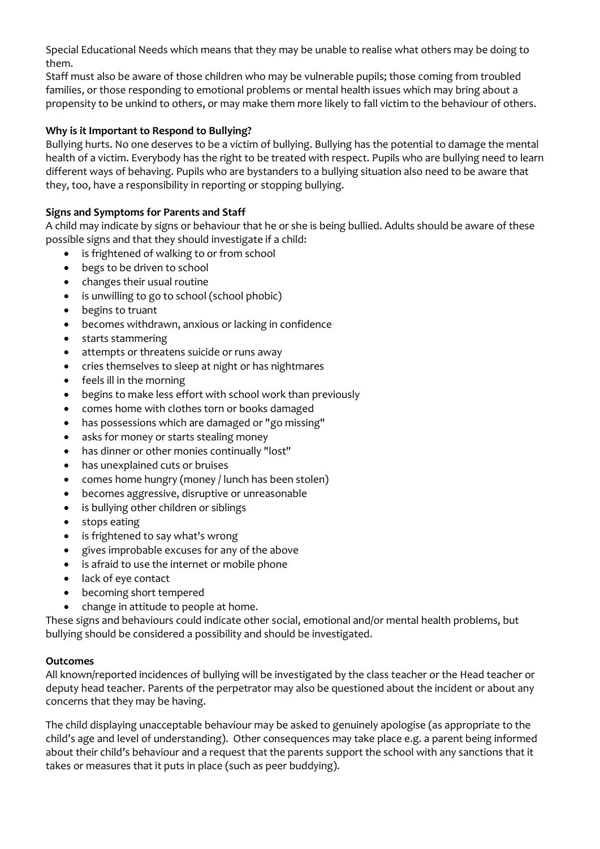Special Educational Needs which means that they may be unable to realise what others may be doing to them.

Staff must also be aware of those children who may be vulnerable pupils; those coming from troubled families, or those responding to emotional problems or mental health issues which may bring about a propensity to be unkind to others, or may make them more likely to fall victim to the behaviour of others.

## **Why is it Important to Respond to Bullying?**

Bullying hurts. No one deserves to be a victim of bullying. Bullying has the potential to damage the mental health of a victim. Everybody has the right to be treated with respect. Pupils who are bullying need to learn different ways of behaving. Pupils who are bystanders to a bullying situation also need to be aware that they, too, have a responsibility in reporting or stopping bullying.

## **Signs and Symptoms for Parents and Staff**

A child may indicate by signs or behaviour that he or she is being bullied. Adults should be aware of these possible signs and that they should investigate if a child:

- is frightened of walking to or from school
- begs to be driven to school
- changes their usual routine
- is unwilling to go to school (school phobic)
- begins to truant
- becomes withdrawn, anxious or lacking in confidence
- starts stammering
- attempts or threatens suicide or runs away
- cries themselves to sleep at night or has nightmares
- feels ill in the morning
- begins to make less effort with school work than previously
- comes home with clothes torn or books damaged
- has possessions which are damaged or "go missing"
- asks for money or starts stealing money
- has dinner or other monies continually "lost"
- has unexplained cuts or bruises
- comes home hungry (money / lunch has been stolen)
- becomes aggressive, disruptive or unreasonable
- is bullying other children or siblings
- stops eating
- is frightened to say what's wrong
- gives improbable excuses for any of the above
- is afraid to use the internet or mobile phone
- lack of eye contact
- becoming short tempered
- change in attitude to people at home.

These signs and behaviours could indicate other social, emotional and/or mental health problems, but bullying should be considered a possibility and should be investigated.

#### **Outcomes**

All known/reported incidences of bullying will be investigated by the class teacher or the Head teacher or deputy head teacher. Parents of the perpetrator may also be questioned about the incident or about any concerns that they may be having.

The child displaying unacceptable behaviour may be asked to genuinely apologise (as appropriate to the child's age and level of understanding). Other consequences may take place e.g. a parent being informed about their child's behaviour and a request that the parents support the school with any sanctions that it takes or measures that it puts in place (such as peer buddying).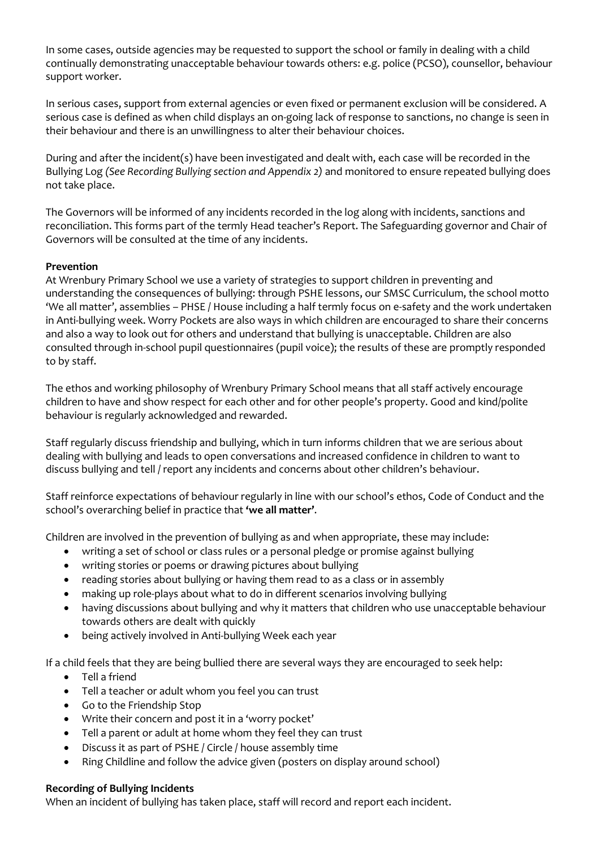In some cases, outside agencies may be requested to support the school or family in dealing with a child continually demonstrating unacceptable behaviour towards others: e.g. police (PCSO), counsellor, behaviour support worker.

In serious cases, support from external agencies or even fixed or permanent exclusion will be considered. A serious case is defined as when child displays an on-going lack of response to sanctions, no change is seen in their behaviour and there is an unwillingness to alter their behaviour choices.

During and after the incident(s) have been investigated and dealt with, each case will be recorded in the Bullying Log *(See Recording Bullying section and Appendix 2)* and monitored to ensure repeated bullying does not take place.

The Governors will be informed of any incidents recorded in the log along with incidents, sanctions and reconciliation. This forms part of the termly Head teacher's Report. The Safeguarding governor and Chair of Governors will be consulted at the time of any incidents.

## **Prevention**

At Wrenbury Primary School we use a variety of strategies to support children in preventing and understanding the consequences of bullying: through PSHE lessons, our SMSC Curriculum, the school motto 'We all matter', assemblies – PHSE / House including a half termly focus on e-safety and the work undertaken in Anti-bullying week. Worry Pockets are also ways in which children are encouraged to share their concerns and also a way to look out for others and understand that bullying is unacceptable. Children are also consulted through in-school pupil questionnaires (pupil voice); the results of these are promptly responded to by staff.

The ethos and working philosophy of Wrenbury Primary School means that all staff actively encourage children to have and show respect for each other and for other people's property. Good and kind/polite behaviour is regularly acknowledged and rewarded.

Staff regularly discuss friendship and bullying, which in turn informs children that we are serious about dealing with bullying and leads to open conversations and increased confidence in children to want to discuss bullying and tell / report any incidents and concerns about other children's behaviour.

Staff reinforce expectations of behaviour regularly in line with our school's ethos, Code of Conduct and the school's overarching belief in practice that **'we all matter'**.

Children are involved in the prevention of bullying as and when appropriate, these may include:

- writing a set of school or class rules or a personal pledge or promise against bullying
- writing stories or poems or drawing pictures about bullying
- reading stories about bullying or having them read to as a class or in assembly
- making up role-plays about what to do in different scenarios involving bullying
- having discussions about bullying and why it matters that children who use unacceptable behaviour towards others are dealt with quickly
- being actively involved in Anti-bullying Week each year

If a child feels that they are being bullied there are several ways they are encouraged to seek help:

- Tell a friend
- Tell a teacher or adult whom you feel you can trust
- Go to the Friendship Stop
- Write their concern and post it in a 'worry pocket'
- Tell a parent or adult at home whom they feel they can trust
- Discuss it as part of PSHE / Circle / house assembly time
- Ring Childline and follow the advice given (posters on display around school)

#### **Recording of Bullying Incidents**

When an incident of bullying has taken place, staff will record and report each incident.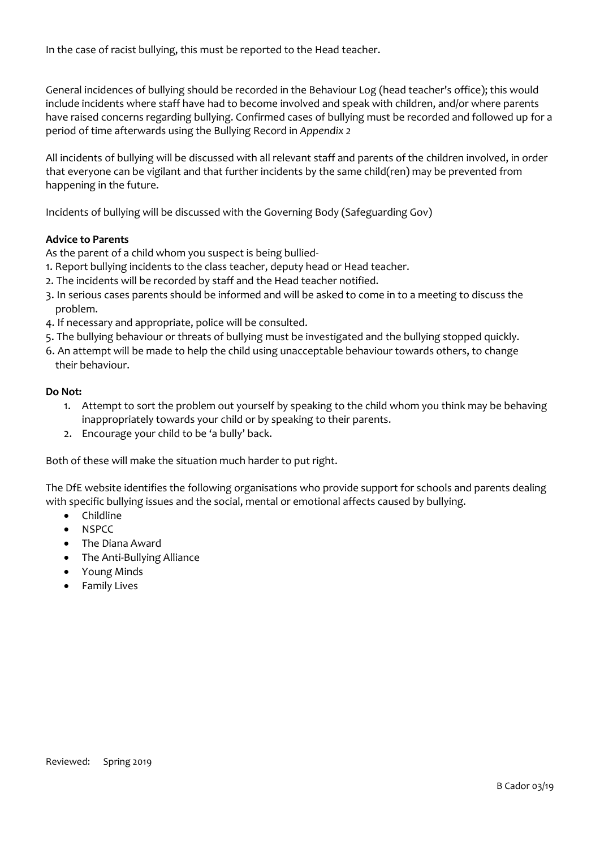In the case of racist bullying, this must be reported to the Head teacher.

General incidences of bullying should be recorded in the Behaviour Log (head teacher's office); this would include incidents where staff have had to become involved and speak with children, and/or where parents have raised concerns regarding bullying. Confirmed cases of bullying must be recorded and followed up for a period of time afterwards using the Bullying Record in *Appendix 2*

All incidents of bullying will be discussed with all relevant staff and parents of the children involved, in order that everyone can be vigilant and that further incidents by the same child(ren) may be prevented from happening in the future.

Incidents of bullying will be discussed with the Governing Body (Safeguarding Gov)

#### **Advice to Parents**

As the parent of a child whom you suspect is being bullied-

- 1. Report bullying incidents to the class teacher, deputy head or Head teacher.
- 2. The incidents will be recorded by staff and the Head teacher notified.
- 3. In serious cases parents should be informed and will be asked to come in to a meeting to discuss the problem.
- 4. If necessary and appropriate, police will be consulted.
- 5. The bullying behaviour or threats of bullying must be investigated and the bullying stopped quickly.
- 6. An attempt will be made to help the child using unacceptable behaviour towards others, to change their behaviour.

#### **Do Not:**

- 1. Attempt to sort the problem out yourself by speaking to the child whom you think may be behaving inappropriately towards your child or by speaking to their parents.
- 2. Encourage your child to be 'a bully' back.

Both of these will make the situation much harder to put right.

The DfE website identifies the following organisations who provide support for schools and parents dealing with specific bullying issues and the social, mental or emotional affects caused by bullying.

- Childline
- NSPCC
- The Diana Award
- The Anti-Bullying Alliance
- Young Minds
- **•** Family Lives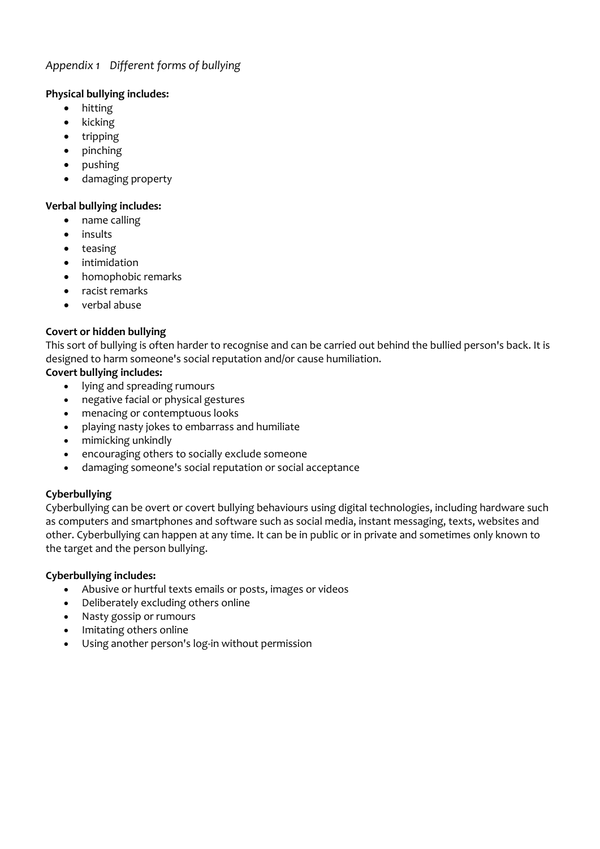## *Appendix 1 Different forms of bullying*

## **Physical bullying includes:**

- hitting
- kicking
- tripping
- pinching
- pushing
- damaging property

## **Verbal bullying includes:**

- name calling
- insults
- teasing
- **•** intimidation
- homophobic remarks
- racist remarks
- verbal abuse

## **Covert or hidden bullying**

This sort of bullying is often harder to recognise and can be carried out behind the bullied person's back. It is designed to harm someone's social reputation and/or cause humiliation.

## **Covert bullying includes:**

- lying and spreading rumours
- negative facial or physical gestures
- menacing or contemptuous looks
- playing nasty jokes to embarrass and humiliate
- mimicking unkindly
- encouraging others to socially exclude someone
- damaging someone's social reputation or social acceptance

## **Cyberbullying**

Cyberbullying can be overt or covert bullying behaviours using digital technologies, including hardware such as computers and smartphones and software such as social media, instant messaging, texts, websites and other. Cyberbullying can happen at any time. It can be in public or in private and sometimes only known to the target and the person bullying.

#### **Cyberbullying includes:**

- Abusive or hurtful texts emails or posts, images or videos
- Deliberately excluding others online
- Nasty gossip or rumours
- Imitating others online
- Using another person's log-in without permission